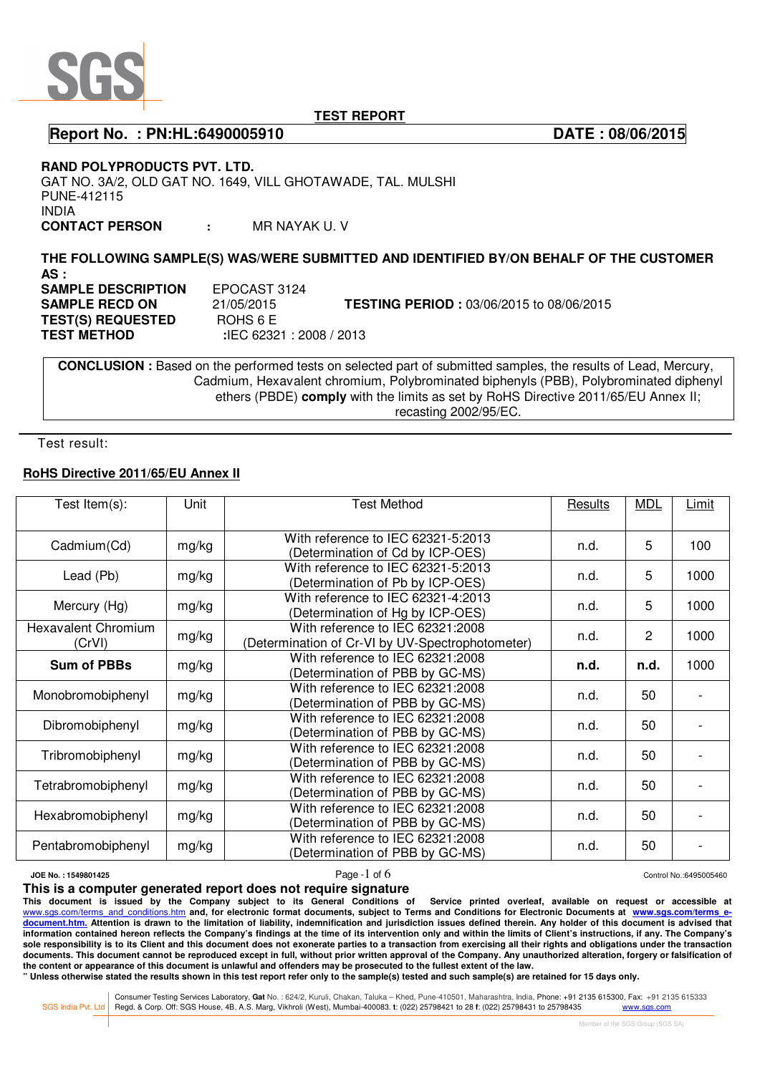

**Report No. : PN:HL:6490005910 DATE : 08/06/2015** 

**RAND POLYPRODUCTS PVT. LTD.** 

GAT NO. 3A/2, OLD GAT NO. 1649, VILL GHOTAWADE, TAL. MULSHI PUNE-412115 INDIA

**CONTACT PERSON :** MR NAYAK U. V

**THE FOLLOWING SAMPLE(S) WAS/WERE SUBMITTED AND IDENTIFIED BY/ON BEHALF OF THE CUSTOMER AS : SAMPLE DESCRIPTION** EPOCAST 3124 **SAMPLE RECD ON** 21/05/2015 **TESTING PERIOD :** 03/06/2015 to 08/06/2015 **TEST(S) REQUESTED** ROHS 6 E  **TEST METHOD :**IEC 62321 : 2008 / 2013

 **CONCLUSION :** Based on the performed tests on selected part of submitted samples, the results of Lead, Mercury, Cadmium, Hexavalent chromium, Polybrominated biphenyls (PBB), Polybrominated diphenyl ethers (PBDE) **comply** with the limits as set by RoHS Directive 2011/65/EU Annex II; recasting 2002/95/EC.

Test result:

### **RoHS Directive 2011/65/EU Annex II**

| Test Item $(s)$ :                    | Unit  | <b>Test Method</b>                               | Results | <b>MDL</b>     | <b>Limit</b> |
|--------------------------------------|-------|--------------------------------------------------|---------|----------------|--------------|
|                                      |       |                                                  |         |                |              |
| Cadmium(Cd)                          | mg/kg | With reference to IEC 62321-5:2013               | n.d.    | 5              | 100          |
|                                      |       | (Determination of Cd by ICP-OES)                 |         |                |              |
| Lead (Pb)                            | mg/kg | With reference to IEC 62321-5:2013               | n.d.    | 5              | 1000         |
|                                      |       | (Determination of Pb by ICP-OES)                 |         |                |              |
| Mercury (Hg)                         | mg/kg | With reference to IEC 62321-4:2013               | n.d.    | 5              | 1000         |
|                                      |       | (Determination of Hg by ICP-OES)                 |         |                |              |
| <b>Hexavalent Chromium</b><br>(CrVI) | mg/kg | With reference to IEC 62321:2008                 | n.d.    | $\overline{2}$ | 1000         |
|                                      |       | (Determination of Cr-VI by UV-Spectrophotometer) |         |                |              |
| <b>Sum of PBBs</b>                   | mg/kg | With reference to IEC 62321:2008                 | n.d.    | n.d.           | 1000         |
|                                      |       | (Determination of PBB by GC-MS)                  |         |                |              |
| Monobromobiphenyl                    | mg/kg | With reference to IEC 62321:2008                 | n.d.    | 50             |              |
|                                      |       | (Determination of PBB by GC-MS)                  |         |                |              |
| Dibromobiphenyl                      | mg/kg | With reference to IEC 62321:2008                 | n.d.    | 50             |              |
|                                      |       | (Determination of PBB by GC-MS)                  |         |                |              |
| Tribromobiphenyl                     | mg/kg | With reference to IEC 62321:2008                 | n.d.    | 50             |              |
|                                      |       | (Determination of PBB by GC-MS)                  |         |                |              |
| Tetrabromobiphenyl                   | mg/kg | With reference to IEC 62321:2008                 | n.d.    | 50             |              |
|                                      |       | (Determination of PBB by GC-MS)                  |         |                |              |
| Hexabromobiphenyl                    | mg/kg | With reference to IEC 62321:2008                 | n.d.    | 50             |              |
|                                      |       | (Determination of PBB by GC-MS)                  |         |                |              |
| Pentabromobiphenyl                   | mg/kg | With reference to IEC 62321:2008                 | n.d.    | 50             |              |
|                                      |       | (Determination of PBB by GC-MS)                  |         |                |              |

## **JOE No. : 1549801425** Control No.:6495005460

**This is a computer generated report does not require signature**

**This document is issued by the Company subject to its General Conditions of Service printed overleaf, available on request or accessible at**  www.sgs.com/terms\_and\_conditions.htm\_and, for electronic format documents, subject to Terms and Conditions for Electronic Documents at www.sgs.com/terms\_e**document.htm. Attention is drawn to the limitation of liability, indemnification and jurisdiction issues defined therein. Any holder of this document is advised that information contained hereon reflects the Company's findings at the time of its intervention only and within the limits of Client's instructions, if any. The Company's sole responsibility is to its Client and this document does not exonerate parties to a transaction from exercising all their rights and obligations under the transaction**  documents. This document cannot be reproduced except in full, without prior written approval of the Company. Any unauthorized alteration, forgery or falsification of **the content or appearance of this document is unlawful and offenders may be prosecuted to the fullest extent of the law.** 

**" Unless otherwise stated the results shown in this test report refer only to the sample(s) tested and such sample(s) are retained for 15 days only.** 

Consumer Testing Services Laboratory, Gat No. : 624/2, Kuruli, Chakan, Taluka - Khed, Pune-410501, Maharashtra, India, Phone: +91 2135 615300, Fax: +91 2135 615300, Fax: +91 2135 615333<br>SGS India Pvt. Ltd Regd. & Corp. Off

i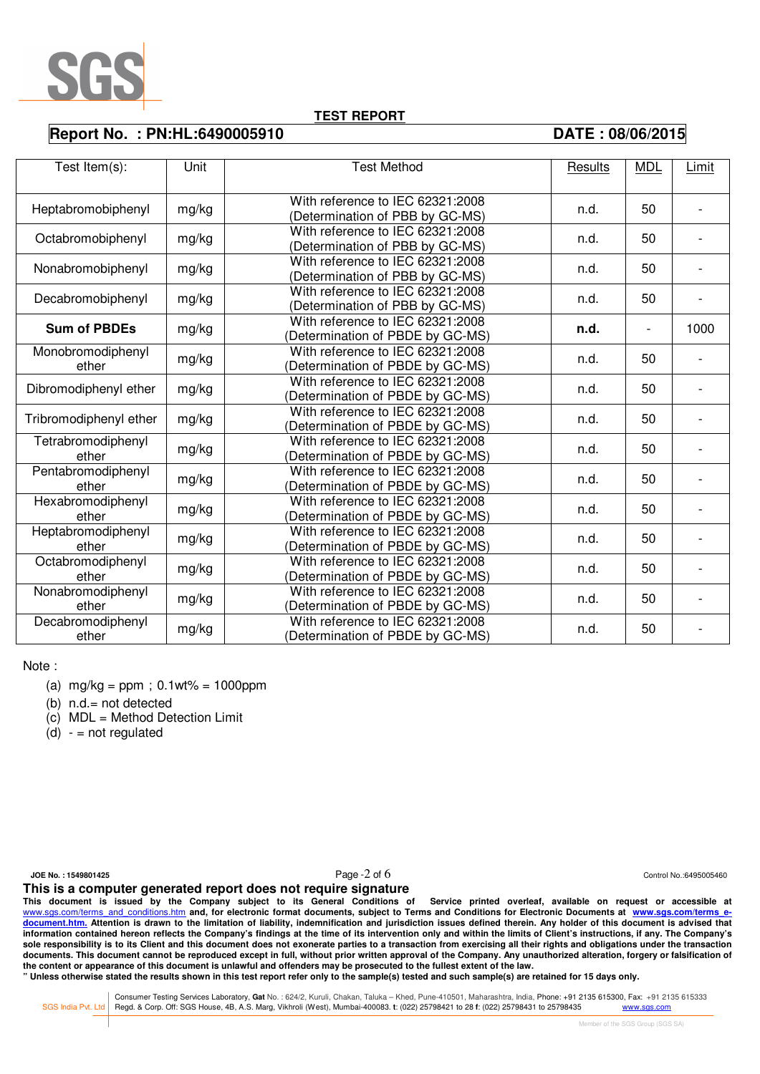

### **Report No. : PN:HL:6490005910 DATE : 08/06/2015**

| Test Item(s):              | Unit  | <b>Test Method</b>               | Results | <b>MDL</b>               | Limit |
|----------------------------|-------|----------------------------------|---------|--------------------------|-------|
|                            |       |                                  |         |                          |       |
| Heptabromobiphenyl         | mg/kg | With reference to IEC 62321:2008 | n.d.    | 50                       |       |
|                            |       | (Determination of PBB by GC-MS)  |         |                          |       |
| Octabromobiphenyl          | mg/kg | With reference to IEC 62321:2008 | n.d.    | 50                       |       |
|                            |       | (Determination of PBB by GC-MS)  |         |                          |       |
| Nonabromobiphenyl          | mg/kg | With reference to IEC 62321:2008 | n.d.    | 50                       |       |
|                            |       | (Determination of PBB by GC-MS)  |         |                          |       |
| Decabromobiphenyl          | mg/kg | With reference to IEC 62321:2008 | n.d.    | 50                       |       |
|                            |       | (Determination of PBB by GC-MS)  |         |                          |       |
| <b>Sum of PBDEs</b>        | mg/kg | With reference to IEC 62321:2008 | n.d.    | $\overline{\phantom{a}}$ | 1000  |
|                            |       | (Determination of PBDE by GC-MS) |         |                          |       |
| Monobromodiphenyl          | mg/kg | With reference to IEC 62321:2008 | n.d.    | 50                       |       |
| ether                      |       | Determination of PBDE by GC-MS)  |         |                          |       |
| Dibromodiphenyl ether      | mg/kg | With reference to IEC 62321:2008 | n.d.    | 50                       |       |
|                            |       | Determination of PBDE by GC-MS)  |         |                          |       |
| Tribromodiphenyl ether     | mg/kg | With reference to IEC 62321:2008 | n.d.    | 50                       |       |
|                            |       | Determination of PBDE by GC-MS)  |         |                          |       |
| Tetrabromodiphenyl         | mg/kg | With reference to IEC 62321:2008 | n.d.    | 50                       |       |
| ether                      |       | Determination of PBDE by GC-MS)  |         |                          |       |
| Pentabromodiphenyl         | mg/kg | With reference to IEC 62321:2008 | n.d.    | 50                       |       |
| ether                      |       | Determination of PBDE by GC-MS)  |         |                          |       |
| Hexabromodiphenyl<br>ether | mg/kg | With reference to IEC 62321:2008 | n.d.    | 50                       |       |
|                            |       | (Determination of PBDE by GC-MS) |         |                          |       |
| Heptabromodiphenyl         | mg/kg | With reference to IEC 62321:2008 | n.d.    | 50                       |       |
| ether                      |       | Determination of PBDE by GC-MS)  |         |                          |       |
| Octabromodiphenyl          | mg/kg | With reference to IEC 62321:2008 | n.d.    | 50                       |       |
| ether                      |       | (Determination of PBDE by GC-MS) |         |                          |       |
| Nonabromodiphenyl          | mg/kg | With reference to IEC 62321:2008 | n.d.    | 50                       |       |
| ether                      |       | (Determination of PBDE by GC-MS) |         |                          |       |
| Decabromodiphenyl          | mg/kg | With reference to IEC 62321:2008 | n.d.    | 50                       |       |
| ether                      |       | (Determination of PBDE by GC-MS) |         |                          |       |

Note :

- (a)  $mg/kg = ppm$ ; 0.1wt% = 1000ppm
- (b) n.d.= not detected
- (c) MDL = Method Detection Limit

 $(d) -$  = not regulated

**JOE No. : 1549801425** Control No.:6495005460

**This is a computer generated report does not require signature**

**This document is issued by the Company subject to its General Conditions of Service printed overleaf, available on request or accessible at**  www.sgs.com/terms\_and\_conditions.htm\_and, for electronic format documents, subject to Terms and Conditions for Electronic Documents at www.sgs.com/terms\_e**document.htm. Attention is drawn to the limitation of liability, indemnification and jurisdiction issues defined therein. Any holder of this document is advised that information contained hereon reflects the Company's findings at the time of its intervention only and within the limits of Client's instructions, if any. The Company's sole responsibility is to its Client and this document does not exonerate parties to a transaction from exercising all their rights and obligations under the transaction**  documents. This document cannot be reproduced except in full, without prior written approval of the Company. Any unauthorized alteration, forgery or falsification of **the content or appearance of this document is unlawful and offenders may be prosecuted to the fullest extent of the law.** 

**" Unless otherwise stated the results shown in this test report refer only to the sample(s) tested and such sample(s) are retained for 15 days only.** 

Consumer Testing Services Laboratory, Gat No. : 624/2, Kuruli, Chakan, Taluka - Khed, Pune-410501, Maharashtra, India, Phone: +91 2135 615300, Fax: +91 2135 615300, Fax: +91 2135 615333<br>SGS India Pvt. Ltd Regd. & Corp. Off

i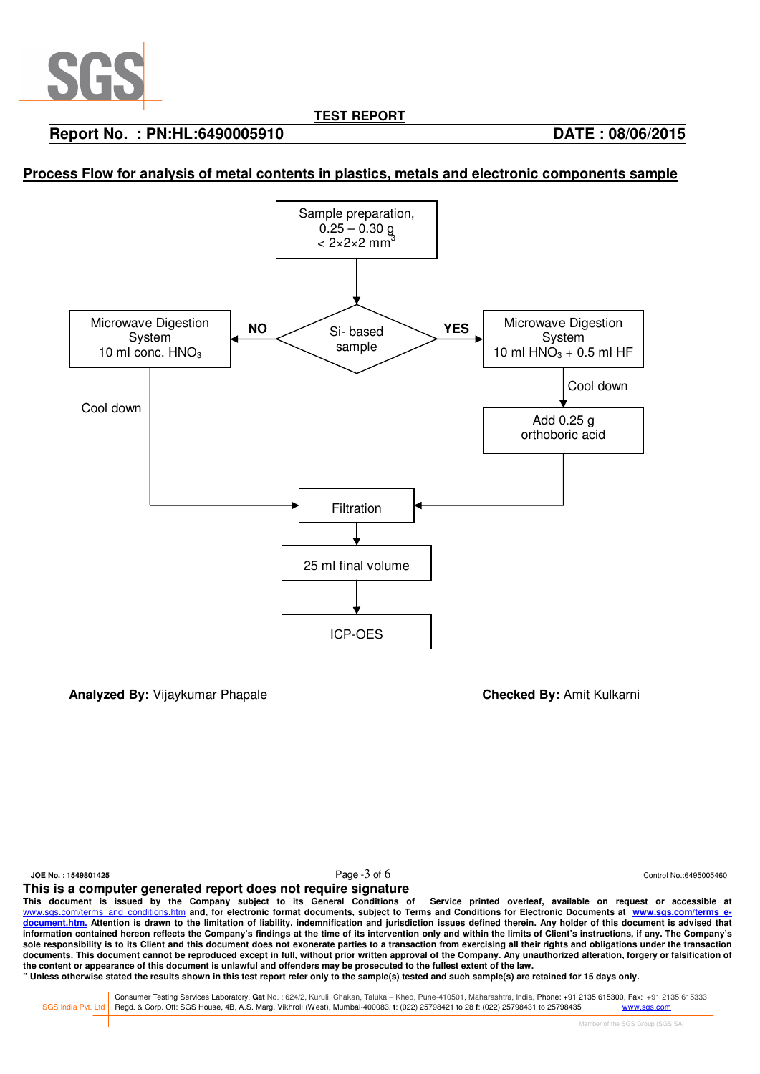

## **Report No. : PN:HL:6490005910 DATE : 08/06/2015**

## **Process Flow for analysis of metal contents in plastics, metals and electronic components sample**



**Analyzed By:** Vijaykumar Phapale **Checked By:** Amit Kulkarni

i

**JOE No. : 1549801425** Control No.:6495005460

**This is a computer generated report does not require signature**

**This document is issued by the Company subject to its General Conditions of Service printed overleaf, available on request or accessible at**  www.sgs.com/terms\_and\_conditions.htm\_and, for electronic format documents, subject to Terms and Conditions for Electronic Documents at www.sgs.com/terms\_e**document.htm. Attention is drawn to the limitation of liability, indemnification and jurisdiction issues defined therein. Any holder of this document is advised that information contained hereon reflects the Company's findings at the time of its intervention only and within the limits of Client's instructions, if any. The Company's sole responsibility is to its Client and this document does not exonerate parties to a transaction from exercising all their rights and obligations under the transaction**  documents. This document cannot be reproduced except in full, without prior written approval of the Company. Any unauthorized alteration, forgery or falsification of **the content or appearance of this document is unlawful and offenders may be prosecuted to the fullest extent of the law.** 

**" Unless otherwise stated the results shown in this test report refer only to the sample(s) tested and such sample(s) are retained for 15 days only.** 

Consumer Testing Services Laboratory, Gat No. : 624/2, Kuruli, Chakan, Taluka - Khed, Pune-410501, Maharashtra, India, Phone: +91 2135 615300, Fax: +91 2135 615300, Fax: +91 2135 615333<br>SGS India Pvt. Ltd Regd. & Corp. Off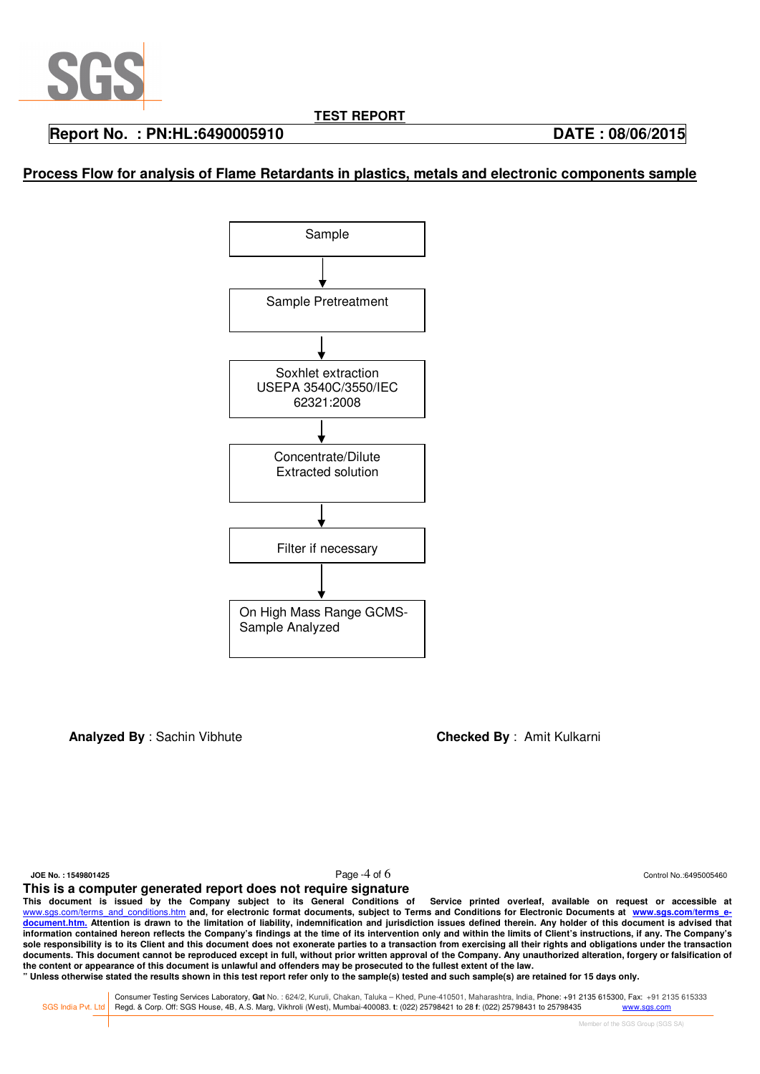

# **Report No. : PN:HL:6490005910 DATE : 08/06/2015**

# **Process Flow for analysis of Flame Retardants in plastics, metals and electronic components sample**



**Analyzed By** : Sachin Vibhute **Checked By** : Amit Kulkarni

i

**JOE No. : 1549801425** Control No.:6495005460

**This is a computer generated report does not require signature**

**This document is issued by the Company subject to its General Conditions of Service printed overleaf, available on request or accessible at**  www.sgs.com/terms\_and\_conditions.htm\_and, for electronic format documents, subject to Terms and Conditions for Electronic Documents at www.sgs.com/terms\_e**document.htm. Attention is drawn to the limitation of liability, indemnification and jurisdiction issues defined therein. Any holder of this document is advised that information contained hereon reflects the Company's findings at the time of its intervention only and within the limits of Client's instructions, if any. The Company's sole responsibility is to its Client and this document does not exonerate parties to a transaction from exercising all their rights and obligations under the transaction**  documents. This document cannot be reproduced except in full, without prior written approval of the Company. Any unauthorized alteration, forgery or falsification of **the content or appearance of this document is unlawful and offenders may be prosecuted to the fullest extent of the law.** 

**" Unless otherwise stated the results shown in this test report refer only to the sample(s) tested and such sample(s) are retained for 15 days only.** 

Consumer Testing Services Laboratory, Gat No. : 624/2, Kuruli, Chakan, Taluka - Khed, Pune-410501, Maharashtra, India, Phone: +91 2135 615300, Fax: +91 2135 615300, Fax: +91 2135 615333<br>SGS India Pvt. Ltd Regd. & Corp. Off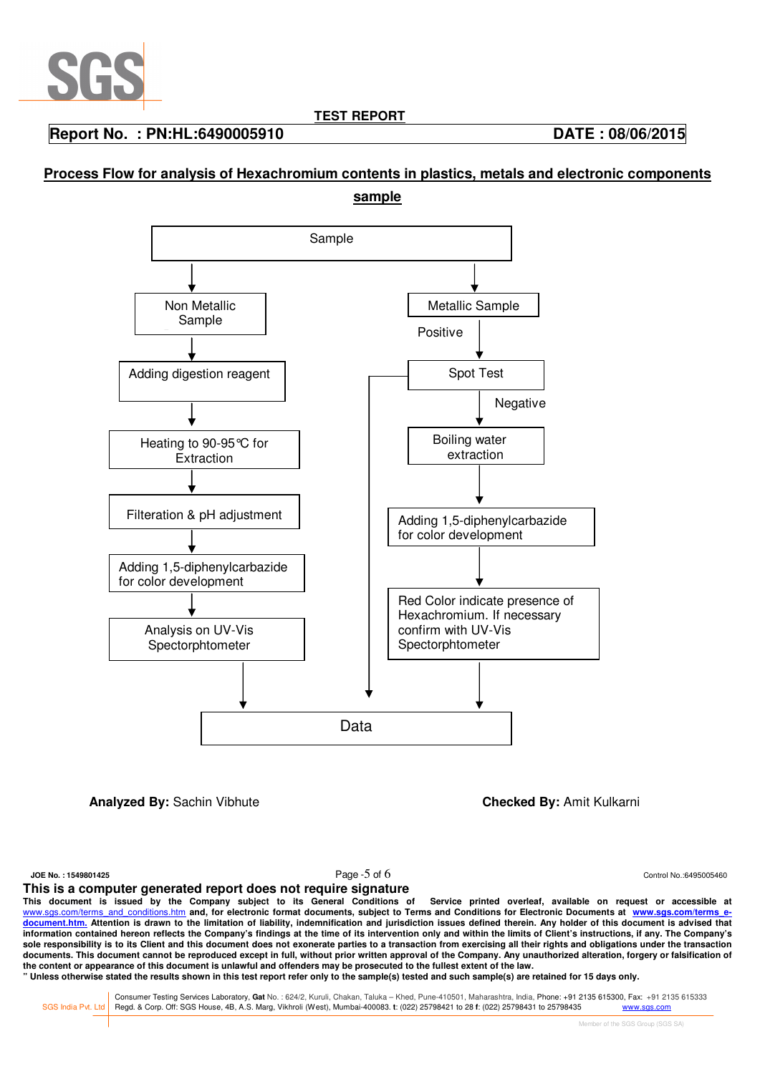

**Report No. : PN:HL:6490005910 DATE : 08/06/2015** 

# **Process Flow for analysis of Hexachromium contents in plastics, metals and electronic components sample**



**Analyzed By:** Sachin Vibhute **Checked By: Amit Kulkarni** 

i

**JOE No. : 1549801425** Control No.:6495005460

#### **This is a computer generated report does not require signature**

**This document is issued by the Company subject to its General Conditions of Service printed overleaf, available on request or accessible at**  www.sgs.com/terms\_and\_conditions.htm\_and, for electronic format documents, subject to Terms and Conditions for Electronic Documents at www.sgs.com/terms\_e**document.htm. Attention is drawn to the limitation of liability, indemnification and jurisdiction issues defined therein. Any holder of this document is advised that information contained hereon reflects the Company's findings at the time of its intervention only and within the limits of Client's instructions, if any. The Company's sole responsibility is to its Client and this document does not exonerate parties to a transaction from exercising all their rights and obligations under the transaction**  documents. This document cannot be reproduced except in full, without prior written approval of the Company. Any unauthorized alteration, forgery or falsification of **the content or appearance of this document is unlawful and offenders may be prosecuted to the fullest extent of the law.** 

**" Unless otherwise stated the results shown in this test report refer only to the sample(s) tested and such sample(s) are retained for 15 days only.** 

Consumer Testing Services Laboratory, Gat No. : 624/2, Kuruli, Chakan, Taluka - Khed, Pune-410501, Maharashtra, India, Phone: +91 2135 615300, Fax: +91 2135 615300, Fax: +91 2135 615333<br>SGS India Pvt. Ltd Regd. & Corp. Off